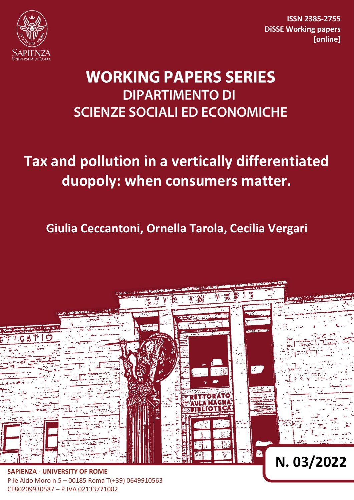

**ISSN 2385-2755 DiSSE Working papers [online]**

# **WORKING PAPERS SERIES DIPARTIMENTO DI SCIENZE SOCIALI ED ECONOMICHE**

# **Tax and pollution in a vertically differentiated duopoly: when consumers matter.**

**Giulia Ceccantoni, Ornella Tarola, Cecilia Vergari**



P.le Aldo Moro n.5 – 00185 Roma T(+39) 0649910563 CF80209930587 – P.IVA 02133771002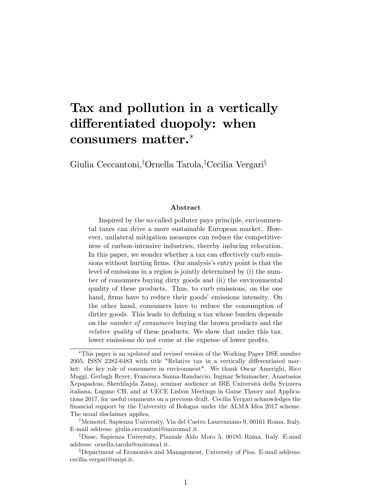## Tax and pollution in a vertically differentiated duopoly: when consumers matter.

Giulia Ceccantoni,<sup>†</sup>Ornella Tarola,<sup>‡</sup>Cecilia Vergari<sup>§</sup>

#### Abstract

Inspired by the so-called polluter pays principle, environmental taxes can drive a more sustainable European market. However, unilateral mitigation measures can reduce the competitiveness of carbon-intensive industries, thereby inducing relocation. In this paper, we wonder whether a tax can effectively curb emissions without hurting firms. Our analysis's entry point is that the level of emissions in a region is jointly determined by (i) the number of consumers buying dirty goods and (ii) the environmental quality of these products. Thus, to curb emissions, on the one hand, firms have to reduce their goods' emissions intensity. On the other hand, consumers have to reduce the consumption of dirtier goods. This leads to defining a tax whose burden depends on the number of consumers buying the brown products and the relative quality of these products. We show that under this tax, lower emissions do not come at the expense of lower profits.

This paper is an updated and revised version of the Working Paper DSE number  $2005$ , ISSN  $2282-6483$  with title "Relative tax in a vertically differentiated market: the key role of consumers in environment". We thank Oscar Amerighi, Rico Maggi, Gerlagh Reyer, Francesca Sanna-Randaccio, Ingmar Schumacher, Anastasios Xepapadeas, Skerdilajda Zanaj, seminar audience at IRE Università della Svizzera italiana, Lugano CH, and at UECE Lisbon Meetings in Game Theory and Applications 2017, for useful comments on a previous draft. Cecilia Vergari acknowledges the Önancial support by the University of Bologna under the ALMA Idea 2017 scheme. The usual disclaimer applies.

<sup>&</sup>lt;sup>†</sup>Memotef, Sapienza University, Via del Castro Laurenziano 9, 00161 Roma, Italy. E-mail address: giulia.ceccantoni@uniroma1.it.

<sup>&</sup>lt;sup>‡</sup>Disse, Sapienza University, Piazzale Aldo Moro 5, 00185 Roma, Italy. E-mail address: ornella.tarola@uniroma1.it.

<sup>&</sup>lt;sup>§</sup>Department of Economics and Management, University of Pisa. E-mail address: cecilia.vergari@unipi.it.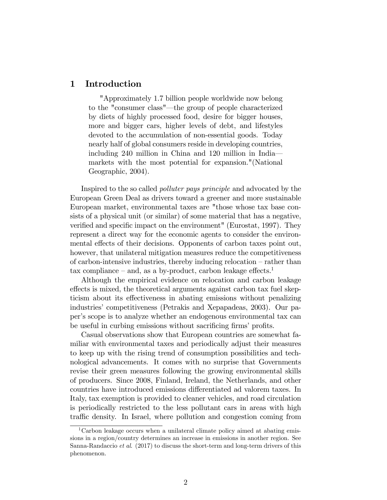### 1 Introduction

"Approximately 1.7 billion people worldwide now belong to the "consumer class"—the group of people characterized by diets of highly processed food, desire for bigger houses, more and bigger cars, higher levels of debt, and lifestyles devoted to the accumulation of non-essential goods. Today nearly half of global consumers reside in developing countries, including 240 million in China and 120 million in Indiamarkets with the most potential for expansion."(National Geographic, 2004).

Inspired to the so called polluter pays principle and advocated by the European Green Deal as drivers toward a greener and more sustainable European market, environmental taxes are "those whose tax base consists of a physical unit (or similar) of some material that has a negative, verified and specific impact on the environment" (Eurostat, 1997). They represent a direct way for the economic agents to consider the environmental effects of their decisions. Opponents of carbon taxes point out, however, that unilateral mitigation measures reduce the competitiveness of carbon-intensive industries, thereby inducing relocation  $-$  rather than tax compliance  $-$  and, as a by-product, carbon leakage effects.<sup>1</sup>

Although the empirical evidence on relocation and carbon leakage effects is mixed, the theoretical arguments against carbon tax fuel skepticism about its effectiveness in abating emissions without penalizing industries' competitiveness (Petrakis and Xepapadeas, 2003). Our paperís scope is to analyze whether an endogenous environmental tax can be useful in curbing emissions without sacrificing firms' profits.

Casual observations show that European countries are somewhat familiar with environmental taxes and periodically adjust their measures to keep up with the rising trend of consumption possibilities and technological advancements. It comes with no surprise that Governments revise their green measures following the growing environmental skills of producers. Since 2008, Finland, Ireland, the Netherlands, and other countries have introduced emissions differentiated ad valorem taxes. In Italy, tax exemption is provided to cleaner vehicles, and road circulation is periodically restricted to the less pollutant cars in areas with high traffic density. In Israel, where pollution and congestion coming from

<sup>&</sup>lt;sup>1</sup>Carbon leakage occurs when a unilateral climate policy aimed at abating emissions in a region/country determines an increase in emissions in another region. See Sanna-Randaccio et al. (2017) to discuss the short-term and long-term drivers of this phenomenon.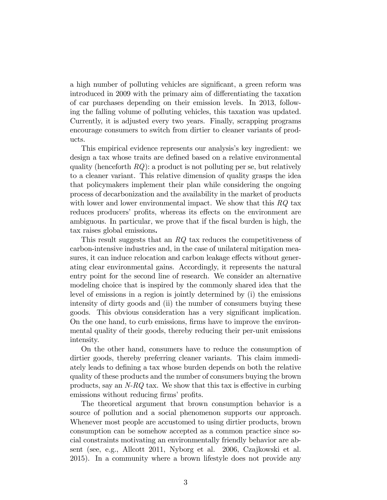a high number of polluting vehicles are significant, a green reform was introduced in 2009 with the primary aim of differentiating the taxation of car purchases depending on their emission levels. In 2013, following the falling volume of polluting vehicles, this taxation was updated. Currently, it is adjusted every two years. Finally, scrapping programs encourage consumers to switch from dirtier to cleaner variants of products.

This empirical evidence represents our analysis's key ingredient: we design a tax whose traits are defined based on a relative environmental quality (henceforth  $RQ$ ): a product is not polluting per se, but relatively to a cleaner variant. This relative dimension of quality grasps the idea that policymakers implement their plan while considering the ongoing process of decarbonization and the availability in the market of products with lower and lower environmental impact. We show that this  $RQ$  tax reduces producers' profits, whereas its effects on the environment are ambiguous. In particular, we prove that if the fiscal burden is high, the tax raises global emissions.

This result suggests that an RQ tax reduces the competitiveness of carbon-intensive industries and, in the case of unilateral mitigation measures, it can induce relocation and carbon leakage effects without generating clear environmental gains. Accordingly, it represents the natural entry point for the second line of research. We consider an alternative modeling choice that is inspired by the commonly shared idea that the level of emissions in a region is jointly determined by (i) the emissions intensity of dirty goods and (ii) the number of consumers buying these goods. This obvious consideration has a very significant implication. On the one hand, to curb emissions, firms have to improve the environmental quality of their goods, thereby reducing their per-unit emissions intensity.

On the other hand, consumers have to reduce the consumption of dirtier goods, thereby preferring cleaner variants. This claim immediately leads to defining a tax whose burden depends on both the relative quality of these products and the number of consumers buying the brown products, say an  $N-RQ$  tax. We show that this tax is effective in curbing emissions without reducing firms' profits.

The theoretical argument that brown consumption behavior is a source of pollution and a social phenomenon supports our approach. Whenever most people are accustomed to using dirtier products, brown consumption can be somehow accepted as a common practice since social constraints motivating an environmentally friendly behavior are absent (see, e.g., Allcott 2011, Nyborg et al. 2006, Czajkowski et al. 2015). In a community where a brown lifestyle does not provide any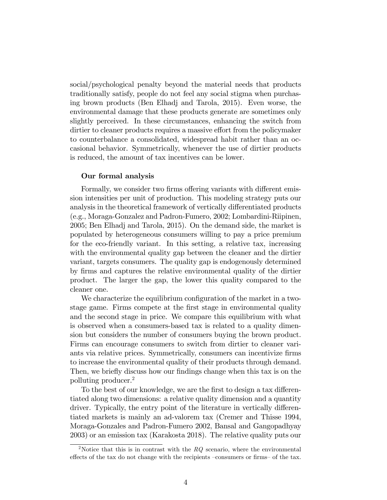social/psychological penalty beyond the material needs that products traditionally satisfy, people do not feel any social stigma when purchasing brown products (Ben Elhadj and Tarola, 2015). Even worse, the environmental damage that these products generate are sometimes only slightly perceived. In these circumstances, enhancing the switch from dirtier to cleaner products requires a massive effort from the policymaker to counterbalance a consolidated, widespread habit rather than an occasional behavior. Symmetrically, whenever the use of dirtier products is reduced, the amount of tax incentives can be lower.

#### Our formal analysis

Formally, we consider two firms offering variants with different emission intensities per unit of production. This modeling strategy puts our analysis in the theoretical framework of vertically differentiated products (e.g., Moraga-Gonzalez and Padron-Fumero, 2002; Lombardini-Riipinen, 2005; Ben Elhadj and Tarola, 2015). On the demand side, the market is populated by heterogeneous consumers willing to pay a price premium for the eco-friendly variant. In this setting, a relative tax, increasing with the environmental quality gap between the cleaner and the dirtier variant, targets consumers. The quality gap is endogenously determined by Örms and captures the relative environmental quality of the dirtier product. The larger the gap, the lower this quality compared to the cleaner one.

We characterize the equilibrium configuration of the market in a twostage game. Firms compete at the Örst stage in environmental quality and the second stage in price. We compare this equilibrium with what is observed when a consumers-based tax is related to a quality dimension but considers the number of consumers buying the brown product. Firms can encourage consumers to switch from dirtier to cleaner variants via relative prices. Symmetrically, consumers can incentivize firms to increase the environmental quality of their products through demand. Then, we briefly discuss how our findings change when this tax is on the polluting producer.<sup>2</sup>

To the best of our knowledge, we are the first to design a tax differentiated along two dimensions: a relative quality dimension and a quantity driver. Typically, the entry point of the literature in vertically differentiated markets is mainly an ad-valorem tax (Cremer and Thisse 1994, Moraga-Gonzales and Padron-Fumero 2002, Bansal and Gangopadhyay 2003) or an emission tax (Karakosta 2018). The relative quality puts our

<sup>&</sup>lt;sup>2</sup>Notice that this is in contrast with the  $RQ$  scenario, where the environmental effects of the tax do not change with the recipients  $-c$  consumers or firms– of the tax.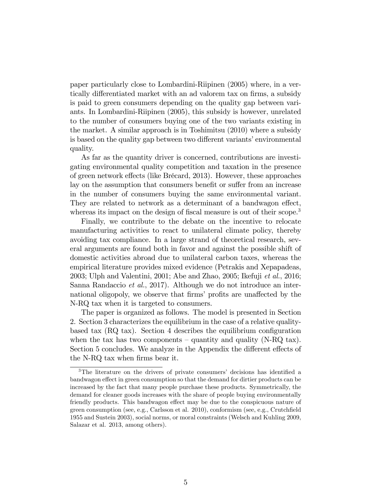paper particularly close to Lombardini-Riipinen (2005) where, in a vertically differentiated market with an ad valorem tax on firms, a subsidy is paid to green consumers depending on the quality gap between variants. In Lombardini-Riipinen (2005), this subsidy is however, unrelated to the number of consumers buying one of the two variants existing in the market. A similar approach is in Toshimitsu (2010) where a subsidy is based on the quality gap between two different variants' environmental quality.

As far as the quantity driver is concerned, contributions are investigating environmental quality competition and taxation in the presence of green network effects (like Brécard, 2013). However, these approaches lay on the assumption that consumers benefit or suffer from an increase in the number of consumers buying the same environmental variant. They are related to network as a determinant of a bandwagon effect, whereas its impact on the design of fiscal measure is out of their scope.<sup>3</sup>

Finally, we contribute to the debate on the incentive to relocate manufacturing activities to react to unilateral climate policy, thereby avoiding tax compliance. In a large strand of theoretical research, several arguments are found both in favor and against the possible shift of domestic activities abroad due to unilateral carbon taxes, whereas the empirical literature provides mixed evidence (Petrakis and Xepapadeas, 2003; Ulph and Valentini, 2001; Abe and Zhao, 2005; Ikefuji et al., 2016; Sanna Randaccio et al., 2017). Although we do not introduce an international oligopoly, we observe that firms' profits are unaffected by the N-RQ tax when it is targeted to consumers.

The paper is organized as follows. The model is presented in Section 2. Section 3 characterizes the equilibrium in the case of a relative qualitybased tax  $(RQ \text{ tax})$ . Section 4 describes the equilibrium configuration when the tax has two components  $-$  quantity and quality (N-RQ tax). Section 5 concludes. We analyze in the Appendix the different effects of the N-RQ tax when firms bear it.

 $3$ The literature on the drivers of private consumers' decisions has identified a bandwagon effect in green consumption so that the demand for dirtier products can be increased by the fact that many people purchase these products. Symmetrically, the demand for cleaner goods increases with the share of people buying environmentally friendly products. This bandwagon effect may be due to the conspicuous nature of green consumption (see, e.g., Carlsson et al.  $2010$ ), conformism (see, e.g., Crutchfield 1955 and Sustein 2003), social norms, or moral constraints (Welsch and Kuhling 2009, Salazar et al. 2013, among others).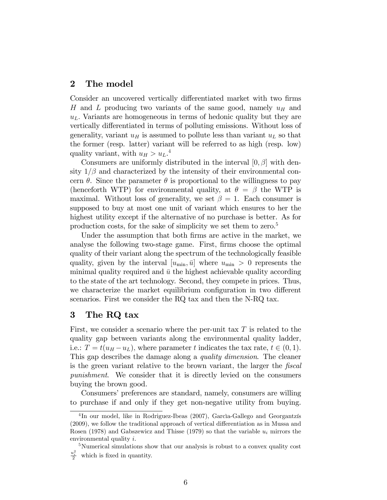#### 2 The model

Consider an uncovered vertically differentiated market with two firms H and L producing two variants of the same good, namely  $u_H$  and  $u<sub>L</sub>$ . Variants are homogeneous in terms of hedonic quality but they are vertically differentiated in terms of polluting emissions. Without loss of generality, variant  $u_H$  is assumed to pollute less than variant  $u_L$  so that the former (resp. latter) variant will be referred to as high (resp. low) quality variant, with  $u_H > u_L$ .<sup>4</sup>

Consumers are uniformly distributed in the interval  $[0, \beta]$  with density  $1/\beta$  and characterized by the intensity of their environmental concern  $\theta$ . Since the parameter  $\theta$  is proportional to the willingness to pay (henceforth WTP) for environmental quality, at  $\theta = \beta$  the WTP is maximal. Without loss of generality, we set  $\beta = 1$ . Each consumer is supposed to buy at most one unit of variant which ensures to her the highest utility except if the alternative of no purchase is better. As for production costs, for the sake of simplicity we set them to zero.<sup>5</sup>

Under the assumption that both firms are active in the market, we analyse the following two-stage game. First, firms choose the optimal quality of their variant along the spectrum of the technologically feasible quality, given by the interval  $[u_{\min}, \bar{u}]$  where  $u_{\min} > 0$  represents the minimal quality required and  $\bar{u}$  the highest achievable quality according to the state of the art technology. Second, they compete in prices. Thus, we characterize the market equilibrium configuration in two different scenarios. First we consider the RQ tax and then the N-RQ tax.

### 3 The RQ tax

First, we consider a scenario where the per-unit tax  $T$  is related to the quality gap between variants along the environmental quality ladder, i.e.:  $T = t(u_H - u_L)$ , where parameter t indicates the tax rate,  $t \in (0, 1)$ . This gap describes the damage along a quality dimension. The cleaner is the green variant relative to the brown variant, the larger the fiscal punishment. We consider that it is directly levied on the consumers buying the brown good.

Consumers' preferences are standard, namely, consumers are willing to purchase if and only if they get non-negative utility from buying.

<sup>&</sup>lt;sup>4</sup>In our model, like in Rodriguez-Ibeas (2007), Garcìa-Gallego and Georgantzís  $(2009)$ , we follow the traditional approach of vertical differentiation as in Mussa and Rosen (1978) and Gabszewicz and Thisse (1979) so that the variable  $u_i$  mirrors the environmental quality  $i$ .

<sup>5</sup>Numerical simulations show that our analysis is robust to a convex quality cost u 2 i which is fixed in quantity.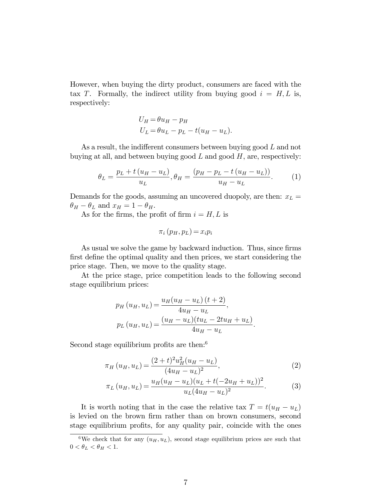However, when buying the dirty product, consumers are faced with the tax T. Formally, the indirect utility from buying good  $i = H, L$  is, respectively:

$$
U_H = \theta u_H - p_H
$$
  

$$
U_L = \theta u_L - p_L - t(u_H - u_L).
$$

As a result, the indifferent consumers between buying good  $L$  and not buying at all, and between buying good  $L$  and good  $H$ , are, respectively:

$$
\theta_L = \frac{p_L + t(u_H - u_L)}{u_L}, \theta_H = \frac{(p_H - p_L - t(u_H - u_L))}{u_H - u_L}.
$$
 (1)

Demands for the goods, assuming an uncovered duopoly, are then:  $x_L =$  $\theta_H - \theta_L$  and  $x_H = 1 - \theta_H$ .

As for the firms, the profit of firm  $i = H, L$  is

$$
\pi_i(p_H, p_L) = x_i p_i
$$

As usual we solve the game by backward induction. Thus, since firms first define the optimal quality and then prices, we start considering the price stage. Then, we move to the quality stage.

At the price stage, price competition leads to the following second stage equilibrium prices:

$$
p_H (u_H, u_L) = \frac{u_H (u_H - u_L) (t + 2)}{4u_H - u_L},
$$
  
\n
$$
p_L (u_H, u_L) = \frac{(u_H - u_L)(tu_L - 2tu_H + u_L)}{4u_H - u_L}.
$$

Second stage equilibrium profits are then: $6$ 

$$
\pi_H(u_H, u_L) = \frac{(2+t)^2 u_H^2 (u_H - u_L)}{(4u_H - u_L)^2},\tag{2}
$$

$$
\pi_L (u_H, u_L) = \frac{u_H (u_H - u_L)(u_L + t(-2u_H + u_L))^2}{u_L (4u_H - u_L)^2}.
$$
 (3)

It is worth noting that in the case the relative tax  $T = t(u_H - u_L)$ is levied on the brown firm rather than on brown consumers, second stage equilibrium profits, for any quality pair, coincide with the ones

<sup>&</sup>lt;sup>6</sup>We check that for any  $(u_H, u_L)$ , second stage equilibrium prices are such that  $0<\theta_L<\theta_H<1.$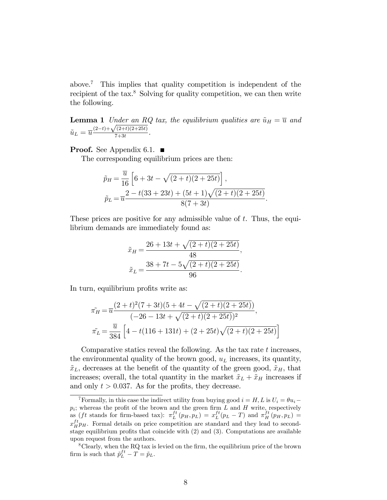above.<sup>7</sup> This implies that quality competition is independent of the recipient of the tax. $8$  Solving for quality competition, we can then write the following.

**Lemma 1** Under an RQ tax, the equilibrium qualities are  $\tilde{u}_H = \overline{u}$  and  $\tilde{u}_L = \overline{u} \frac{(2-t)+\sqrt{(2+t)(2+25t)}}{7+3t}$  $\frac{(2+i)(2+25i)}{7+3t}$ .

**Proof.** See Appendix 6.1.  $\blacksquare$ 

The corresponding equilibrium prices are then:

$$
\tilde{p}_H = \frac{\overline{u}}{16} \left[ 6 + 3t - \sqrt{(2+t)(2+25t)} \right],
$$
\n
$$
\tilde{p}_L = \overline{u} \frac{2 - t(33+23t) + (5t+1)\sqrt{(2+t)(2+25t)}}{8(7+3t)}.
$$

These prices are positive for any admissible value of  $t$ . Thus, the equilibrium demands are immediately found as:

$$
\tilde{x}_H = \frac{26 + 13t + \sqrt{(2+t)(2+25t)}}{48},
$$

$$
\tilde{x}_L = \frac{38 + 7t - 5\sqrt{(2+t)(2+25t)}}{96}.
$$

In turn, equilibrium profits write as:

$$
\tilde{\pi_H} = \overline{u} \frac{(2+t)^2 (7+3t)(5+4t-\sqrt{(2+t)(2+25t)})}{(-26-13t+\sqrt{(2+t)(2+25t)})^2},
$$
\n
$$
\tilde{\pi_L} = \frac{\overline{u}}{384} \left[ 4 - t(116+131t) + (2+25t)\sqrt{(2+t)(2+25t)} \right]
$$

Comparative statics reveal the following. As the tax rate  $t$  increases, the environmental quality of the brown good,  $u<sub>L</sub>$  increases, its quantity,  $\tilde{x}_L$ , decreases at the benefit of the quantity of the green good,  $\tilde{x}_H$ , that increases; overall, the total quantity in the market  $\tilde{x}_L + \tilde{x}_H$  increases if and only  $t > 0.037$ . As for the profits, they decrease.

<sup>&</sup>lt;sup>7</sup>Formally, in this case the indirect utility from buying good  $i = H, L$  is  $U_i = \theta u_i$  $p_i$ ; whereas the profit of the brown and the green firm  $L$  and  $H$  write, respectively as  $(ft \text{ stands for firm-based tax})$ :  $\pi_L^{ft}(p_H, p_L) = x_L^{ft}(p_L - T)$  and  $\pi_H^{ft}(p_H, p_L) =$  $x_{H}^{ft}p_{H}$ . Formal details on price competition are standard and they lead to secondstage equilibrium profits that coincide with  $(2)$  and  $(3)$ . Computations are available upon request from the authors.

 $8C$ learly, when the RQ tax is levied on the firm, the equilibrium price of the brown firm is such that  $\tilde{p}_L^{ft} - T = \tilde{p}_L$ .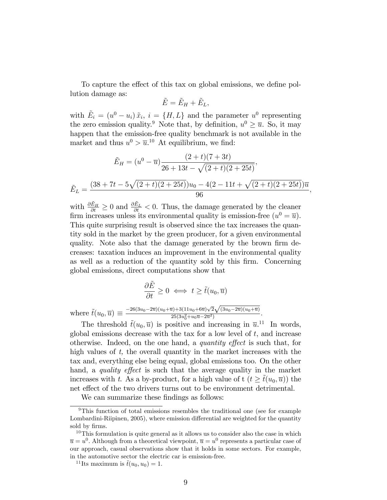To capture the effect of this tax on global emissions, we define pollution damage as:

$$
\tilde{E} = \tilde{E}_H + \tilde{E}_L,
$$

with  $\tilde{E}_i = (u^0 - u_i) \tilde{x}_i$ ,  $i = \{H, L\}$  and the parameter  $u^0$  representing the zero emission quality.<sup>9</sup> Note that, by definition,  $u^0 \geq \overline{u}$ . So, it may happen that the emission-free quality benchmark is not available in the market and thus  $u^0 > \overline{u}$ .<sup>10</sup> At equilibrium, we find:

$$
\tilde{E}_H = (u^0 - \overline{u}) \frac{(2+t)(7+3t)}{26+13t - \sqrt{(2+t)(2+25t)}},
$$
\n
$$
\tilde{E}_L = \frac{(38+7t - 5\sqrt{(2+t)(2+25t)})u_0 - 4(2-11t + \sqrt{(2+t)(2+25t)})\overline{u}}{96}
$$

;

with  $\frac{\partial \tilde{E}_H}{\partial t} \ge 0$  and  $\frac{\partial \tilde{E}_L}{\partial t} < 0$ . Thus, the damage generated by the cleaner firm increases unless its environmental quality is emission-free  $(u^0 = \overline{u})$ . This quite surprising result is observed since the tax increases the quantity sold in the market by the green producer, for a given environmental quality. Note also that the damage generated by the brown firm decreases: taxation induces an improvement in the environmental quality as well as a reduction of the quantity sold by this firm. Concerning global emissions, direct computations show that

$$
\frac{\partial \tilde{E}}{\partial t} \ge 0 \iff t \ge \tilde{t}(u_0, \overline{u})
$$

where  $\tilde{t}(u_0, \overline{u}) \equiv \frac{-26(3u_0 - 2\overline{u})(u_0 + \overline{u}) + 3(11u_0 + 6\overline{u})\sqrt{2}\sqrt{(3u_0 - 2\overline{u})(u_0 + \overline{u})}}{25(3u_0^2 + u_0\overline{u} - 2\overline{u}^2)}$  $\frac{25(3u_0^2+u_0\overline{u}-2\overline{u}^2)}{25u_0^2+u_0\overline{u}-2\overline{u}^2)}.$ 

The threshold  $\tilde{t}(u_0, \bar{u})$  is positive and increasing in  $\bar{u}$ <sup>11</sup>. In words, global emissions decrease with the tax for a low level of  $t$ , and increase otherwise. Indeed, on the one hand, a *quantity effect* is such that, for high values of  $t$ , the overall quantity in the market increases with the tax and, everything else being equal, global emissions too. On the other hand, a *quality effect* is such that the average quality in the market increases with t. As a by-product, for a high value of  $t (t > \tilde{t}(u_0, \overline{u}))$  the net effect of the two drivers turns out to be environment detrimental.

We can summarize these findings as follows:

<sup>&</sup>lt;sup>9</sup>This function of total emissions resembles the traditional one (see for example Lombardini-Riipinen, 2005), where emission differential are weighted for the quantity sold by firms.

 $10$ This formulation is quite general as it allows us to consider also the case in which  $\overline{u} = u^0$ . Although from a theoretical viewpoint,  $\overline{u} = u^0$  represents a particular case of our approach, casual observations show that it holds in some sectors. For example, in the automotive sector the electric car is emission-free.

<sup>&</sup>lt;sup>11</sup>Its maximum is  $\tilde{t}(u_0, u_0) = 1$ .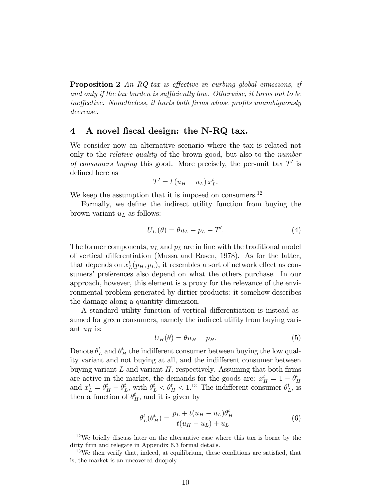**Proposition 2** An RQ-tax is effective in curbing global emissions, if and only if the tax burden is sufficiently low. Otherwise, it turns out to be ineffective. Nonetheless, it hurts both firms whose profits unambiguously decrease.

### 4 A novel fiscal design: the N-RQ tax.

We consider now an alternative scenario where the tax is related not only to the relative quality of the brown good, but also to the number of consumers buying this good. More precisely, the per-unit tax  $T'$  is defined here as

$$
T' = t (u_H - u_L) x_L^t.
$$

We keep the assumption that it is imposed on consumers.<sup>12</sup>

Formally, we define the indirect utility function from buying the brown variant  $u<sub>L</sub>$  as follows:

$$
U_{L}(\theta) = \theta u_{L} - p_{L} - T'. \tag{4}
$$

The former components,  $u<sub>L</sub>$  and  $p<sub>L</sub>$  are in line with the traditional model of vertical differentiation (Mussa and Rosen, 1978). As for the latter, that depends on  $x_L^t(p_H, p_L)$ , it resembles a sort of network effect as consumers' preferences also depend on what the others purchase. In our approach, however, this element is a proxy for the relevance of the environmental problem generated by dirtier products: it somehow describes the damage along a quantity dimension.

A standard utility function of vertical differentiation is instead assumed for green consumers, namely the indirect utility from buying variant  $u_H$  is:

$$
U_H(\theta) = \theta u_H - p_H. \tag{5}
$$

Denote  $\theta_L^t$  and  $\theta_H^t$  the indifferent consumer between buying the low quality variant and not buying at all, and the indifferent consumer between buying variant  $L$  and variant  $H$ , respectively. Assuming that both firms are active in the market, the demands for the goods are:  $x_H^t = 1 - \theta_I^t$ H and  $x_L^t = \theta_H^t - \theta_I^t$  $_t^t$ , with  $\theta_L^t < \theta_H^t < 1.^{13}$  The indifferent consumer  $\theta_I^t$  $_L^t$ , is then a function of  $\theta_H^t$ , and it is given by

$$
\theta_L^t(\theta_H^t) = \frac{p_L + t(u_H - u_L)\theta_H^t}{t(u_H - u_L) + u_L} \tag{6}
$$

 $12$ We briefly discuss later on the alterantive case where this tax is borne by the dirty firm and relegate in Appendix 6.3 formal details.

 $13\,\text{We}$  then verify that, indeed, at equilibrium, these conditions are satisfied, that is, the market is an uncovered duopoly.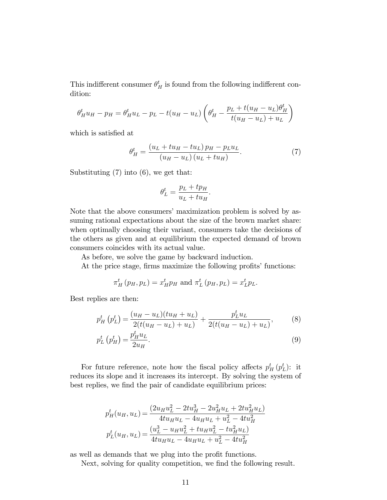This indifferent consumer  $\theta_H^t$  is found from the following indifferent condition:

$$
\theta_H^t u_H - p_H = \theta_H^t u_L - p_L - t(u_H - u_L) \left( \theta_H^t - \frac{p_L + t(u_H - u_L)\theta_H^t}{t(u_H - u_L) + u_L} \right)
$$

which is satisfied at

$$
\theta_H^t = \frac{\left(u_L + tu_H - tu_L\right)p_H - p_L u_L}{\left(u_H - u_L\right)\left(u_L + tu_H\right)}.\tag{7}
$$

Substituting (7) into (6), we get that:

$$
\theta_L^t = \frac{p_L + tp_H}{u_L + tu_H}.
$$

Note that the above consumers' maximization problem is solved by assuming rational expectations about the size of the brown market share: when optimally choosing their variant, consumers take the decisions of the others as given and at equilibrium the expected demand of brown consumers coincides with its actual value.

As before, we solve the game by backward induction.

At the price stage, firms maximize the following profits' functions:

$$
\pi_H^t(p_H, p_L) = x_H^t p_H \text{ and } \pi_L^t(p_H, p_L) = x_L^t p_L.
$$

Best replies are then:

$$
p_H^t(p_L^t) = \frac{(u_H - u_L)(tu_H + u_L)}{2(t(u_H - u_L) + u_L)} + \frac{p_L^t u_L}{2(t(u_H - u_L) + u_L)},
$$
(8)

$$
p_L^t \left( p_H^t \right) = \frac{p_H^t u_L}{2u_H}.
$$
\n
$$
(9)
$$

For future reference, note how the fiscal policy affects  $p_H^t (p_L^t)$ : it reduces its slope and it increases its intercept. By solving the system of best replies, we find the pair of candidate equilibrium prices:

$$
p_H^t(u_H, u_L) = \frac{(2u_H u_L^2 - 2tu_H^3 - 2u_H^2 u_L + 2tu_H^2 u_L)}{4tu_H u_L - 4u_H u_L + u_L^2 - 4tu_H^2}
$$
  

$$
p_L^t(u_H, u_L) = \frac{(u_L^3 - u_H u_L^2 + tu_H u_L^2 - tu_H^2 u_L)}{4tu_H u_L - 4u_H u_L + u_L^2 - 4tu_H^2}
$$

as well as demands that we plug into the profit functions.

Next, solving for quality competition, we find the following result.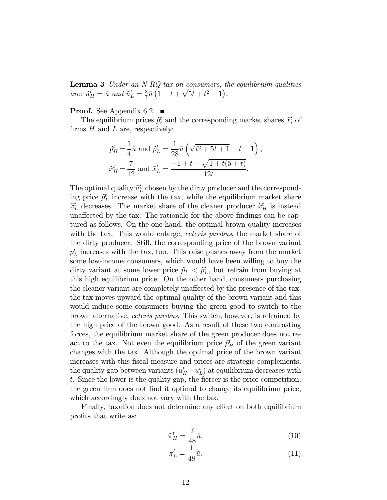**Lemma 3** Under an N-RQ tax on consumers, the equilibrium qualities are:  $\tilde{u}^t_H = \bar{u}$  and  $\tilde{u}^t_L = \frac{2}{7}$  $rac{2}{7}\bar{u}\left(1-t+\sqrt{5t+t^2+1}\right).$ 

**Proof.** See Appendix 6.2.  $\blacksquare$ 

The equilibrium prices  $\tilde{p}_i^t$  and the corresponding market shares  $\tilde{x}_i^t$  of firms  $H$  and  $L$  are, respectively:

$$
\tilde{p}_{H}^{t} = \frac{1}{4}\bar{u} \text{ and } \tilde{p}_{L}^{t} = \frac{1}{28}\bar{u}\left(\sqrt{t^{2} + 5t + 1} - t + 1\right),
$$
  

$$
\tilde{x}_{H}^{t} = \frac{7}{12} \text{ and } \tilde{x}_{L}^{t} = \frac{-1 + t + \sqrt{1 + t(5 + t)}}{12t}.
$$

The optimal quality  $\tilde{u}_L^t$  chosen by the dirty producer and the corresponding price  $\tilde{p}_L^t$  increase with the tax, while the equilibrium market share  $\tilde{x}_L^t$  decreases. The market share of the cleaner producer  $\tilde{x}_H^t$  is instead unaffected by the tax. The rationale for the above findings can be captured as follows. On the one hand, the optimal brown quality increases with the tax. This would enlarge, *ceteris paribus*, the market share of the dirty producer. Still, the corresponding price of the brown variant  $p_L^t$  increases with the tax, too. This raise pushes away from the market some low-income consumers, which would have been willing to buy the dirty variant at some lower price  $\tilde{p}_L < \tilde{p}_L^t$ , but refrain from buying at this high equilibrium price. On the other hand, consumers purchasing the cleaner variant are completely unaffected by the presence of the tax: the tax moves upward the optimal quality of the brown variant and this would induce some consumers buying the green good to switch to the brown alternative, ceteris paribus. This switch, however, is refrained by the high price of the brown good. As a result of these two contrasting forces, the equilibrium market share of the green producer does not react to the tax. Not even the equilibrium price  $\tilde{p}^t_H$  of the green variant changes with the tax. Although the optimal price of the brown variant increases with this fiscal measure and prices are strategic complements, the quality gap between variants  $(\tilde{u}_H^t - \tilde{u}_L^t)$  at equilibrium decreases with  $t$ . Since the lower is the quality gap, the fiercer is the price competition, the green firm does not find it optimal to change its equilibrium price, which accordingly does not vary with the tax.

Finally, taxation does not determine any effect on both equilibrium profits that write as:

$$
\tilde{\pi}_H^t = \frac{7}{48}\bar{u},\tag{10}
$$

$$
\tilde{\pi}_L^t = \frac{1}{48}\bar{u}.\tag{11}
$$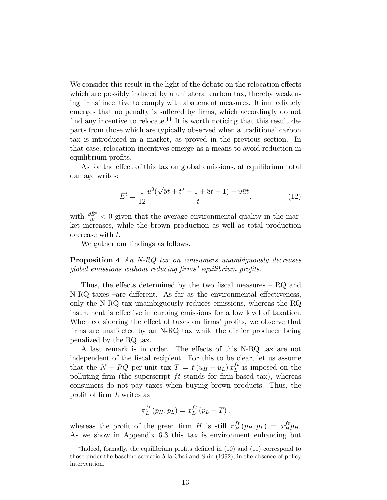We consider this result in the light of the debate on the relocation effects which are possibly induced by a unilateral carbon tax, thereby weakening firms' incentive to comply with abatement measures. It immediately emerges that no penalty is suffered by firms, which accordingly do not find any incentive to relocate.<sup>14</sup> It is worth noticing that this result departs from those which are typically observed when a traditional carbon tax is introduced in a market, as proved in the previous section. In that case, relocation incentives emerge as a means to avoid reduction in equilibrium profits.

As for the effect of this tax on global emissions, at equilibrium total damage writes:

$$
\tilde{E}^t = \frac{1}{12} \frac{u^0(\sqrt{5t + t^2 + 1} + 8t - 1) - 9\bar{u}t}{t},
$$
\n(12)

with  $\frac{\partial \tilde{E}^t}{\partial t} < 0$  given that the average environmental quality in the market increases, while the brown production as well as total production decrease with t.

We gather our findings as follows.

**Proposition 4** An N-RQ tax on consumers unambiguously decreases  $qlobal$  emissions without reducing  $\lim s$  equilibrium profits.

Thus, the effects determined by the two fiscal measures  $-$  RQ and N-RQ taxes –are different. As far as the environmental effectiveness, only the N-RQ tax unambiguously reduces emissions, whereas the RQ instrument is effective in curbing emissions for a low level of taxation. When considering the effect of taxes on firms' profits, we observe that firms are unaffected by an N-RQ tax while the dirtier producer being penalized by the RQ tax.

A last remark is in order. The effects of this N-RQ tax are not independent of the fiscal recipient. For this to be clear, let us assume that the  $N - RQ$  per-unit tax  $T = t (u_H - u_L) x_L^{ft}$  $L^{It}$  is imposed on the polluting firm (the superscript  $ft$  stands for firm-based tax), whereas consumers do not pay taxes when buying brown products. Thus, the profit of firm  $L$  writes as

$$
\pi_L^{ft}(p_H, p_L) = x_L^{ft}(p_L - T),
$$

whereas the profit of the green firm H is still  $\pi_H^{ft}(p_H, p_L) = x_H^{ft} p_H$ . As we show in Appendix 6.3 this tax is environment enhancing but

<sup>&</sup>lt;sup>14</sup> Indeed, formally, the equilibrium profits defined in  $(10)$  and  $(11)$  correspond to those under the baseline scenario à la Choi and Shin (1992), in the absence of policy intervention.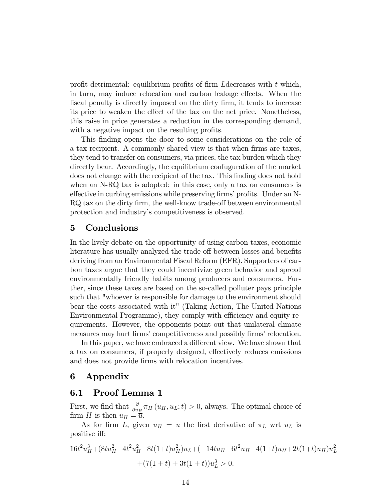profit detrimental: equilibrium profits of firm L decreases with  $t$  which, in turn, may induce relocation and carbon leakage effects. When the fiscal penalty is directly imposed on the dirty firm, it tends to increase its price to weaken the effect of the tax on the net price. Nonetheless, this raise in price generates a reduction in the corresponding demand, with a negative impact on the resulting profits.

This finding opens the door to some considerations on the role of a tax recipient. A commonly shared view is that when firms are taxes, they tend to transfer on consumers, via prices, the tax burden which they directly bear. Accordingly, the equilibrium confuguration of the market does not change with the recipient of the tax. This finding does not hold when an N-RQ tax is adopted: in this case, only a tax on consumers is effective in curbing emissions while preserving firms' profits. Under an N-RQ tax on the dirty firm, the well-know trade-off between environmental protection and industryís competitiveness is observed.

#### 5 Conclusions

In the lively debate on the opportunity of using carbon taxes, economic literature has usually analyzed the trade-off between losses and benefits deriving from an Environmental Fiscal Reform (EFR). Supporters of carbon taxes argue that they could incentivize green behavior and spread environmentally friendly habits among producers and consumers. Further, since these taxes are based on the so-called polluter pays principle such that "whoever is responsible for damage to the environment should bear the costs associated with it" (Taking Action, The United Nations Environmental Programme), they comply with efficiency and equity requirements. However, the opponents point out that unilateral climate measures may hurt firms' competitiveness and possibly firms' relocation.

In this paper, we have embraced a different view. We have shown that a tax on consumers, if properly designed, effectively reduces emissions and does not provide firms with relocation incentives.

#### 6 Appendix

#### 6.1 Proof Lemma 1

First, we find that  $\frac{\partial}{\partial u_H} \pi_H(u_H, u_L; t) > 0$ , always. The optimal choice of firm H is then  $\tilde{u}_H = \overline{\tilde{u}}$ .

As for firm L, given  $u_H = \overline{u}$  the first derivative of  $\pi_L$  wrt  $u_L$  is positive iff:

$$
16t2uH3 + (8tuH2 - 4t2uH2 - 8t(1+t)uH2)uL + (-14tuH - 6t2uH - 4(1+t)uH + 2t(1+t)uH)uL2 + (7(1 + t) + 3t(1 + t))uL3 > 0.
$$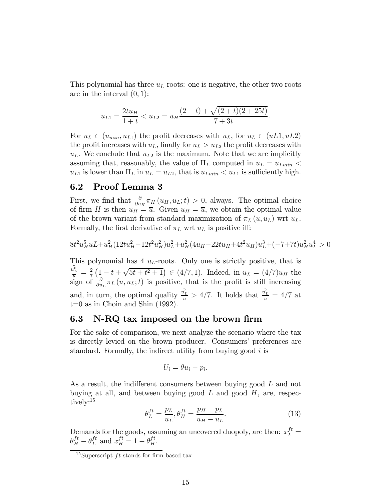This polynomial has three  $u<sub>L</sub>$ -roots: one is negative, the other two roots are in the interval  $(0, 1)$ :

$$
u_{L1} = \frac{2tu_H}{1+t} < u_{L2} = u_H \frac{(2-t) + \sqrt{(2+t)(2+25t)}}{7+3t}.
$$

For  $u_L \in (u_{min}, u_{L1})$  the profit decreases with  $u_L$ , for  $u_L \in (uL1, uL2)$ the profit increases with  $u<sub>L</sub>$ , finally for  $u<sub>L</sub> > u<sub>L2</sub>$  the profit decreases with  $u<sub>L</sub>$ . We conclude that  $u<sub>L2</sub>$  is the maximum. Note that we are implicitly assuming that, reasonably, the value of  $\Pi_L$  computed in  $u_L = u_{Lmin}$  $u_{L1}$  is lower than  $\Pi_L$  in  $u_L = u_{L2}$ , that is  $u_{Lmin} < u_{L1}$  is sufficiently high.

#### 6.2 Proof Lemma 3

First, we find that  $\frac{\partial}{\partial u_H} \pi_H(u_H, u_L; t) > 0$ , always. The optimal choice of firm H is then  $\tilde{u}_H = \overline{u}$ . Given  $u_H = \overline{u}$ , we obtain the optimal value of the brown variant from standard maximization of  $\pi_L(\bar{u}, u_L)$  wrt  $u_L$ . Formally, the first derivative of  $\pi_L$  wrt  $u_L$  is positive iff:

$$
8t^2u_H^5uL+u_H^2(12tu_H^2-12t^2u_H^2)u_L^2+u_H^2(4u_H-22tu_H+4t^2u_H)u_L^3+(-7+7t)u_H^2u_L^4>0
$$

This polynomial has  $4 \, u_L$ -roots. Only one is strictly positive, that is  $\frac{\tilde{u_L^t}}{\overline{u}} = \frac{2}{7}$  $\frac{2}{7}\left(1-t+\sqrt{5t+t^2+1}\right) \in (4/7,1).$  Indeed, in  $u_L = (4/7)u_H$  the sign of  $\frac{\partial}{\partial u_L} \pi_L(\overline{u}, u_L; t)$  is positive, that is the profit is still increasing and, in turn, the optimal quality  $\frac{u_t^{\tilde{t}}}{\overline{u}} > 4/7$ . It holds that  $\frac{u_t^{\tilde{t}}}{\overline{u}} = 4/7$  at t=0 as in Choin and Shin (1992).

#### 6.3 N-RQ tax imposed on the brown firm

For the sake of comparison, we next analyze the scenario where the tax is directly levied on the brown producer. Consumers' preferences are standard. Formally, the indirect utility from buying good  $i$  is

$$
U_i = \theta u_i - p_i.
$$

As a result, the indifferent consumers between buying good  $L$  and not buying at all, and between buying good  $L$  and good  $H$ , are, respectively:<sup>15</sup>

$$
\theta_L^{ft} = \frac{p_L}{u_L}, \theta_H^{ft} = \frac{p_H - p_L}{u_H - u_L}.\tag{13}
$$

Demands for the goods, assuming an uncovered duopoly, are then:  $x_L^{ft}$  =  $\theta_H^{ft} - \theta_L^{ft}$  $L^{ft}$  and  $x_H^{ft} = 1 - \theta_H^{ft}$ .

<sup>&</sup>lt;sup>15</sup>Superscript *ft* stands for firm-based tax.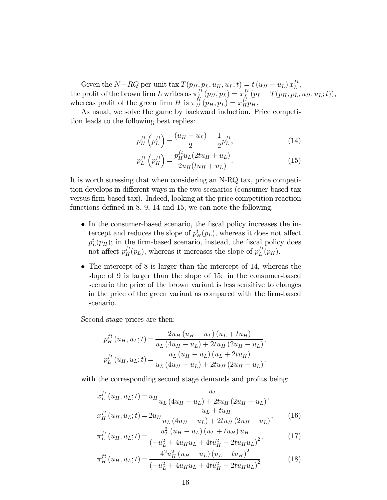Given the  $N-RQ$  per-unit tax  $T(p_H, p_L, u_H, u_L; t) = t(u_H - u_L) x_L^{ft}$  $_L^L$  , the profit of the brown firm L writes as  $\pi_L^{ft}$  $L^{ft}\left(p_H,p_L\right)=x_L^{ft}$  $L^{\text{tr}}_{\mu}\left(p_{L}-T(p_{H},p_{L},u_{H},u_{L};t)\right),$ whereas profit of the green firm H is  $\pi_H^{ft}(p_H, p_L) = x_H^{ft} p_H$ .

As usual, we solve the game by backward induction. Price competition leads to the following best replies:

$$
p_H^{ft}\left(p_L^{ft}\right) = \frac{(u_H - u_L)}{2} + \frac{1}{2}p_L^{ft},\tag{14}
$$

$$
p_L^{ft}\left(p_H^{ft}\right) = \frac{p_H^{ft}u_L(2tu_H + u_L)}{2u_H(tu_H + u_L)}.
$$
\n(15)

It is worth stressing that when considering an N-RQ tax, price competition develops in different ways in the two scenarios (consumer-based tax versus firm-based tax). Indeed, looking at the price competition reaction functions defined in  $8, 9, 14$  and  $15$ , we can note the following.

- In the consumer-based scenario, the fiscal policy increases the intercept and reduces the slope of  $p_H^t(p_L)$ , whereas it does not affect  $p_L^t(p_H)$ ; in the firm-based scenario, instead, the fiscal policy does not affect  $p_H^{ft}(p_L)$ , whereas it increases the slope of  $p_L^{ft}$  $L^{t}(p_H)$ .
- The intercept of 8 is larger than the intercept of 14, whereas the slope of 9 is larger than the slope of 15: in the consumer-based scenario the price of the brown variant is less sensitive to changes in the price of the green variant as compared with the firm-based scenario.

Second stage prices are then:

$$
p_{H}^{ft}(u_{H}, u_{L}; t) = \frac{2u_{H}(u_{H} - u_{L})(u_{L} + tu_{H})}{u_{L}(4u_{H} - u_{L}) + 2tu_{H}(2u_{H} - u_{L})},
$$
  

$$
p_{L}^{ft}(u_{H}, u_{L}; t) = \frac{u_{L}(u_{H} - u_{L})(u_{L} + 2tu_{H})}{u_{L}(4u_{H} - u_{L}) + 2tu_{H}(2u_{H} - u_{L})}.
$$

with the corresponding second stage demands and profits being:

$$
x_L^{ft}(u_H, u_L; t) = u_H \frac{u_L}{u_L (4u_H - u_L) + 2tu_H (2u_H - u_L)},
$$
  
\n
$$
x_H^{ft}(u_H, u_L; t) = 2u_H \frac{u_L + tu_H}{u_L (4u_H - u_L) + 2tu_H (2u_H - u_L)},
$$
 (16)

$$
\pi_L^{ft}(u_H, u_L; t) = \frac{u_L^2 (u_H - u_L) (u_L + tu_H) u_H}{(u_H, u_L; t)}.
$$
\n(17)

$$
\pi_L^{(u_H, u_L, t)} = \frac{(-u_L^2 + 4u_H u_L + 4tu_H^2 - 2tu_H u_L)^2}{(-u_L^2 + 4u_H u_L + 4tu_H^2 - 2tu_H u_L)^2},
$$
\n
$$
\pi_L^{(u_H, u_L; t)} = \frac{4^2 u_H^2 (u_H - u_L) (u_L + tu_H)^2}{(18)}
$$

$$
\pi_H^{ft}(u_H, u_L; t) = \frac{4^2 u_H^2 (u_H - u_L) (u_L + t u_H)^2}{\left(-u_L^2 + 4u_H u_L + 4t u_H^2 - 2t u_H u_L\right)^2}.
$$
(18)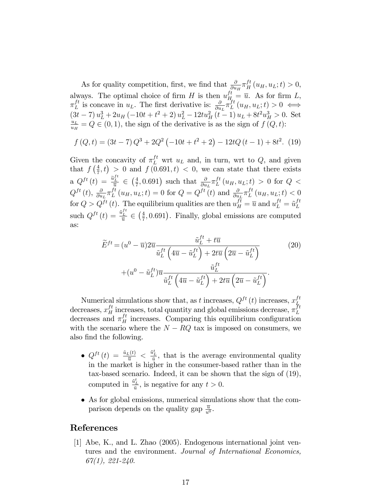As for quality competition, first, we find that  $\frac{\partial}{\partial u_H} \pi_H^{ft}(u_H, u_L; t) > 0$ , always. The optimal choice of firm H is then  $u_{H_{\alpha}}^{ft} = \overline{u}$ . As for firm L,  $\pi_L^{ft}$  $L_L^{ft}$  is concave in  $u_L$ . The first derivative is:  $\frac{\partial}{\partial u_L} \pi_L^{ft}$  $L^{t}(u_H, u_L; t) > 0 \iff$  $(3t-7)u_L^3+2u_H(-10t+t^2+2)u_L^2-12tu_H^2(t-1)u_L+8t^2u_H^3>0.$  Set  $u_L$  $\frac{u_L}{u_H} = Q \in (0, 1)$ , the sign of the derivative is as the sign of  $f(Q, t)$ :

$$
f(Q,t) = (3t - 7)Q^{3} + 2Q^{2}(-10t + t^{2} + 2) - 12tQ(t - 1) + 8t^{2}.
$$
 (19)

Given the concavity of  $\pi_L^{ft}$  wrt  $u_L$  and, in turn, wrt to  $Q$ , and given that  $f\left(\frac{4}{7}\right)$  $(\frac{4}{7},t) > 0$  and  $f(0.691,t) < 0$ , we can state that there exists a  $Q^{ft}(t) = \frac{\tilde{u}_L^{ft}}{\overline{u}} \in \left(\frac{4}{7}\right)$  $(\frac{4}{7}, 0.691)$  such that  $\frac{\partial}{\partial u_L} \pi_L^{ft}$  $L^{t}(u_H, u_L; t) > 0$  for  $Q <$  $Q^{ft}\left(t\right), \frac{\partial}{\partial u}$  $\frac{\partial}{\partial u_L} \pi_L^{ft}$  $L^{ft}(u_H, u_L; t) = 0$  for  $Q = Q^{ft}(t)$  and  $\frac{\partial}{\partial u_L} \pi_L^{ft}$  $L^{tt}(u_H, u_L; t) < 0$ for  $Q > Q^{ft}(t)$ . The equilibrium qualities are then  $u_H^{ft} = \overline{u}$  and  $u_L^{ft} = \tilde{u}_L^{ft}$ L such  $Q^{ft}(t) = \frac{\tilde{u}_L^{ft}}{\overline{u}} \in \left(\frac{4}{7}\right)$  $\frac{4}{7}$ , 0.691). Finally, global emissions are computed as:

$$
\widetilde{E}^{ft} = (u^0 - \overline{u})2\overline{u} \frac{\widetilde{u}_L^{ft} + t\overline{u}}{\widetilde{u}_L^{ft} \left(4\overline{u} - \widetilde{u}_L^{ft}\right) + 2t\overline{u}\left(2\overline{u} - \widetilde{u}_L^{ft}\right)} \qquad (20)
$$
\n
$$
+ (u^0 - \widetilde{u}_L^{ft})\overline{u} \frac{\widetilde{u}_L^{ft}}{\widetilde{u}_L^{ft} \left(4\overline{u} - \widetilde{u}_L^{ft}\right) + 2t\overline{u}\left(2\overline{u} - \widetilde{u}_L^{ft}\right)}.
$$

Numerical simulations show that, as t increases,  $Q^{ft}(t)$  increases,  $x_L^{ft}$ L decreases,  $x_H^{ft}$  increases, total quantity and global emissions decrease,  $\pi_L^{ft}$ L decreases and  $\pi_H^{ft}$  increases. Comparing this equilibrium configuration with the scenario where the  $N - RQ$  tax is imposed on consumers, we also find the following.

- $Q^{ft}(t) = \frac{\tilde{u}_L(t)}{\overline{u}} < \frac{\tilde{u}_L^t}{\overline{u}}$ , that is the average environmental quality in the market is higher in the consumer-based rather than in the tax-based scenario. Indeed, it can be shown that the sign of (19), computed in  $\frac{\tilde{u}_L^t}{\bar{u}}$ , is negative for any  $t > 0$ .
- As for global emissions, numerical simulations show that the comparison depends on the quality gap  $\frac{\overline{u}}{u^0}$ .

#### References

[1] Abe, K., and L. Zhao (2005). Endogenous international joint ventures and the environment. Journal of International Economics,  $67(1), 221-240.$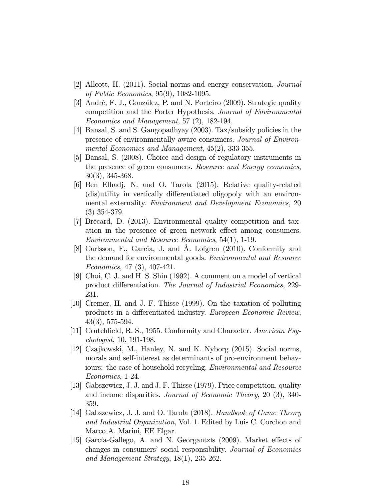- [2] Allcott, H. (2011). Social norms and energy conservation. Journal of Public Economics, 95(9), 1082-1095.
- [3] André, F. J., González, P. and N. Porteiro (2009). Strategic quality competition and the Porter Hypothesis. Journal of Environmental Economics and Management, 57 (2), 182-194.
- [4] Bansal, S. and S. Gangopadhyay (2003). Tax/subsidy policies in the presence of environmentally aware consumers. Journal of Environmental Economics and Management, 45(2), 333-355.
- [5] Bansal, S. (2008). Choice and design of regulatory instruments in the presence of green consumers. Resource and Energy economics, 30(3), 345-368.
- [6] Ben Elhadj, N. and O. Tarola (2015). Relative quality-related (dis)utility in vertically differentiated oligopoly with an environmental externality. Environment and Development Economics, 20 (3) 354-379.
- [7] Brécard, D. (2013). Environmental quality competition and taxation in the presence of green network effect among consumers. Environmental and Resource Economics, 54(1), 1-19.
- [8] Carlsson, F., Garcia, J. and Å. Löfgren (2010). Conformity and the demand for environmental goods. Environmental and Resource Economics, 47 (3), 407-421.
- [9] Choi, C. J. and H. S. Shin (1992). A comment on a model of vertical product differentiation. The Journal of Industrial Economics, 229-231.
- [10] Cremer, H. and J. F. Thisse (1999). On the taxation of polluting products in a differentiated industry. European Economic Review, 43(3), 575-594.
- [11] Crutchfield, R. S., 1955. Conformity and Character. American Psychologist, 10, 191-198.
- [12] Czajkowski, M., Hanley, N. and K. Nyborg (2015). Social norms, morals and self-interest as determinants of pro-environment behaviours: the case of household recycling. Environmental and Resource Economics, 1-24.
- [13] Gabszewicz, J. J. and J. F. Thisse (1979). Price competition, quality and income disparities. Journal of Economic Theory, 20 (3), 340- 359.
- [14] Gabszewicz, J. J. and O. Tarola (2018). Handbook of Game Theory and Industrial Organization, Vol. 1. Edited by Luis C. Corchon and Marco A. Marini, EE Elgar.
- [15] García-Gallego, A. and N. Georgantzís (2009). Market effects of changes in consumers' social responsibility. Journal of Economics and Management Strategy, 18(1), 235-262.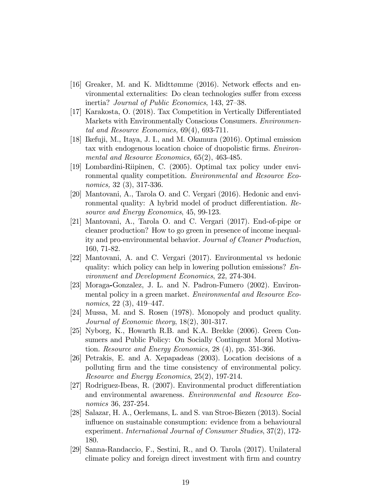- [16] Greaker, M. and K. Midttømme (2016). Network effects and environmental externalities: Do clean technologies suffer from excess inertia? *Journal of Public Economics*, 143, 27–38.
- [17] Karakosta, O. (2018). Tax Competition in Vertically Differentiated Markets with Environmentally Conscious Consumers. Environmental and Resource Economics, 69(4), 693-711.
- [18] Ikefuji, M., Itaya, J. I., and M. Okamura (2016). Optimal emission tax with endogenous location choice of duopolistic firms. *Environ*mental and Resource Economics, 65(2), 463-485.
- [19] Lombardini-Riipinen, C. (2005). Optimal tax policy under environmental quality competition. Environmental and Resource Economics, 32 (3), 317-336.
- [20] Mantovani, A., Tarola O. and C. Vergari (2016). Hedonic and environmental quality: A hybrid model of product differentiation. Resource and Energy Economics, 45, 99-123.
- [21] Mantovani, A., Tarola O. and C. Vergari (2017). End-of-pipe or cleaner production? How to go green in presence of income inequality and pro-environmental behavior. Journal of Cleaner Production, 160, 71-82.
- [22] Mantovani, A. and C. Vergari (2017). Environmental vs hedonic quality: which policy can help in lowering pollution emissions? Environment and Development Economics, 22, 274-304.
- [23] Moraga-Gonzalez, J. L. and N. Padron-Fumero (2002). Environmental policy in a green market. Environmental and Resource Economics,  $22(3)$ ,  $419-447$ .
- [24] Mussa, M. and S. Rosen (1978). Monopoly and product quality. Journal of Economic theory, 18(2), 301-317.
- [25] Nyborg, K., Howarth R.B. and K.A. Brekke (2006). Green Consumers and Public Policy: On Socially Contingent Moral Motivation. Resource and Energy Economics, 28 (4), pp. 351-366.
- [26] Petrakis, E. and A. Xepapadeas (2003). Location decisions of a polluting firm and the time consistency of environmental policy. Resource and Energy Economics, 25(2), 197-214.
- [27] Rodriguez-Ibeas, R. (2007). Environmental product differentiation and environmental awareness. Environmental and Resource Economics 36, 237-254.
- [28] Salazar, H. A., Oerlemans, L. and S. van Stroe-Biezen (2013). Social influence on sustainable consumption: evidence from a behavioural experiment. International Journal of Consumer Studies, 37(2), 172- 180.
- [29] Sanna-Randaccio, F., Sestini, R., and O. Tarola (2017). Unilateral climate policy and foreign direct investment with Örm and country